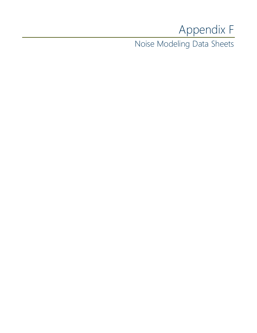# Appendix F

Noise Modeling Data Sheets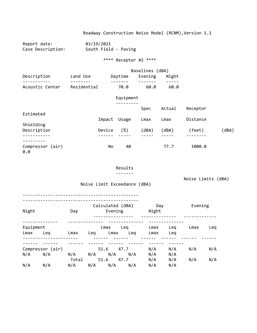Report date: 03/19/2021 Case Description: South Field - Paving

\*\*\*\* Receptor #2 \*\*\*\*

|                 |             |         | Baselines (dBA) |       |  |  |  |
|-----------------|-------------|---------|-----------------|-------|--|--|--|
| Description     | Land Use    | Daytime | Evening         | Night |  |  |  |
|                 |             |         |                 |       |  |  |  |
| Acoustic Center | Residential | 70.0    | 60.0            | 60.Q  |  |  |  |

## Equipment

|                         |        |       | Spec  | Actual | Receptor |       |
|-------------------------|--------|-------|-------|--------|----------|-------|
| Estimated               |        |       |       |        |          |       |
|                         | Impact | Usage | Lmax  | Lmax   | Distance |       |
| Shielding               |        |       |       |        |          |       |
| Description             | Device | (%)   | (dBA) | (dBA)  | (feet)   | (dBA) |
| ----------              |        |       |       |        |          |       |
|                         |        |       |       |        |          |       |
| Compressor (air)<br>0.0 | No     | 40    |       | 77.7   | 1000.0   |       |

#### Results

-------

Noise Limits (dBA)

Noise Limit Exceedance (dBA)

----------------------------------------------

| Night             |                  | Day          | Calculated (dBA)<br>Evening |             | Day<br>Night |            | Evening |     |
|-------------------|------------------|--------------|-----------------------------|-------------|--------------|------------|---------|-----|
| Equipment<br>Lmax | Leg              | Lmax         | Lmax<br>Leq<br>Lmax         | Lea<br>Lea  | Lmax<br>Lmax | Leg<br>Leg | Lmax    | Leg |
|                   |                  |              |                             |             |              |            |         |     |
|                   | Compressor (air) |              | 51.6                        | 47.7        | N/A          | N/A        | N/A     | N/A |
| N/A               | N/A              | N/A<br>Total | N/A<br>N/A<br>51.6          | N/A<br>47.7 | N/A<br>N/A   | N/A<br>N/A | N/A     | N/A |
| N/A               | N/A              | N/A          | N/A<br>N/A                  | N/A         | N/A          | N/A        |         |     |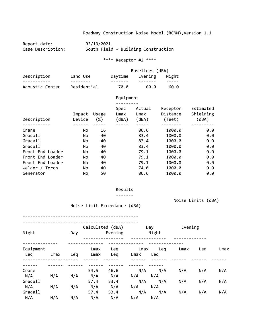Report date: 03/19/2021<br>Case Description: South Field South Field - Building Construction

\*\*\*\* Receptor #2 \*\*\*\*

|                 |             | Baselines (dBA) |         |       |  |  |
|-----------------|-------------|-----------------|---------|-------|--|--|
| Description     | Land Use    | Daytime         | Evening | Night |  |  |
|                 |             |                 |         |       |  |  |
| Acoustic Center | Residential | 70.0            | 60.0    | 60. Q |  |  |

# Equipment

| Description      | Impact<br>Device | Usage<br>$(\%)$ | Spec<br>Lmax<br>(dBA) | Actual<br>Lmax<br>(dBA) | Receptor<br>Distance<br>(feet) | Estimated<br>Shielding<br>(dBA) |
|------------------|------------------|-----------------|-----------------------|-------------------------|--------------------------------|---------------------------------|
|                  |                  |                 |                       |                         |                                |                                 |
| Crane            | No.              | 16              |                       | 80.6                    | 1000.0                         | 0.0                             |
| Gradall          | No.              | 40              |                       | 83.4                    | 1000.0                         | 0.0                             |
| Gradall          | No.              | 40              |                       | 83.4                    | 1000.0                         | 0.0                             |
| Gradall          | No.              | 40              |                       | 83.4                    | 1000.0                         | 0.0                             |
| Front End Loader | No.              | 40              |                       | 79.1                    | 1000.0                         | 0.0                             |
| Front End Loader | No.              | 40              |                       | 79.1                    | 1000.0                         | 0.0                             |
| Front End Loader | No.              | 40              |                       | 79.1                    | 1000.0                         | 0.0                             |
| Welder / Torch   | No.              | 40              |                       | 74.0                    | 1000.0                         | 0.0                             |
| Generator        | No               | 50              |                       | 80.6                    | 1000.0                         | 0.0                             |

#### Results

-------

Noise Limits (dBA)

Noise Limit Exceedance (dBA)

----------------------------------------------

| Night            |      | Day | Calculated (dBA) | Evening    |              | Day<br>Night | Evening |     |      |
|------------------|------|-----|------------------|------------|--------------|--------------|---------|-----|------|
| Equipment<br>Leg | Lmax | Leg | Lmax<br>Lmax     | Leg<br>Leg | Lmax<br>Lmax | Leg<br>Leg   | Lmax    | Leq | Lmax |
|                  |      |     |                  |            |              |              |         |     |      |
| Crane            |      |     | 54.5             | 46.6       | N/A          | N/A          | N/A     | N/A | N/A  |
| N/A              | N/A  | N/A | N/A              | N/A        | N/A          | N/A          |         |     |      |
| Gradall          |      |     | 57.4             | 53.4       | N/A          | N/A          | N/A     | N/A | N/A  |
| N/A              | N/A  | N/A | N/A              | N/A        | N/A          | N/A          |         |     |      |
| Gradall          |      |     | 57.4             | 53.4       | N/A          | N/A          | N/A     | N/A | N/A  |
| N/A              | N/A  | N/A | N/A              | N/A        | N/A          | N/A          |         |     |      |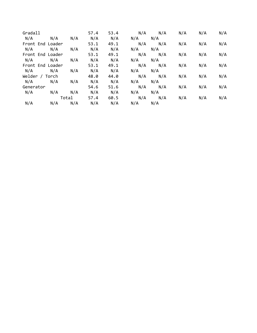| Gradall          |     |       | 57.4 | 53.4 | N/A | N/A | N/A | N/A | N/A |
|------------------|-----|-------|------|------|-----|-----|-----|-----|-----|
| N/A              | N/A | N/A   | N/A  | N/A  | N/A | N/A |     |     |     |
| Front End Loader |     |       | 53.1 | 49.1 | N/A | N/A | N/A | N/A | N/A |
| N/A              | N/A | N/A   | N/A  | N/A  | N/A | N/A |     |     |     |
| Front End Loader |     |       | 53.1 | 49.1 | N/A | N/A | N/A | N/A | N/A |
| N/A              | N/A | N/A   | N/A  | N/A  | N/A | N/A |     |     |     |
| Front End Loader |     |       | 53.1 | 49.1 | N/A | N/A | N/A | N/A | N/A |
| N/A              | N/A | N/A   | N/A  | N/A  | N/A | N/A |     |     |     |
| Welder / Torch   |     |       | 48.0 | 44.0 | N/A | N/A | N/A | N/A | N/A |
| N/A              | N/A | N/A   | N/A  | N/A  | N/A | N/A |     |     |     |
| Generator        |     |       | 54.6 | 51.6 | N/A | N/A | N/A | N/A | N/A |
| N/A              | N/A | N/A   | N/A  | N/A  | N/A | N/A |     |     |     |
|                  |     | Total | 57.4 | 60.5 | N/A | N/A | N/A | N/A | N/A |
| N/A              | N/A | N/A   | N/A  | N/A  | N/A | N/A |     |     |     |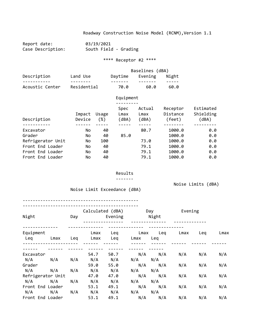Report date: 03/19/2021 Case Description: South Field - Grading

\*\*\*\* Receptor #2 \*\*\*\*

|                 |             | Baselines (dBA) |         |       |  |  |
|-----------------|-------------|-----------------|---------|-------|--|--|
| Description     | Land Use    | Daytime         | Evening | Night |  |  |
|                 |             |                 |         |       |  |  |
| Acoustic Center | Residential | 70.0            | 60.0    | 60.0  |  |  |

|                   |                  |              | Equipment             |                         |                                |                                 |
|-------------------|------------------|--------------|-----------------------|-------------------------|--------------------------------|---------------------------------|
| Description       | Impact<br>Device | Usage<br>(%) | Spec<br>Lmax<br>(dBA) | Actual<br>Lmax<br>(dBA) | Receptor<br>Distance<br>(feet) | Estimated<br>Shielding<br>(dBA) |
|                   |                  |              |                       |                         |                                |                                 |
| Excavator         | No               | 40           |                       | 80.7                    | 1000.0                         | 0.0                             |
| Grader            | No               | 40           | 85.0                  |                         | 1000.0                         | 0.0                             |
| Refrigerator Unit | No               | 100          |                       | 73.0                    | 1000.0                         | 0.0                             |
| Front End Loader  | No               | 40           |                       | 79.1                    | 1000.0                         | 0.0                             |
| Front End Loader  | No               | 40           |                       | 79.1                    | 1000.0                         | 0.0                             |
| Front End Loader  | No               | 40           |                       | 79.1                    | 1000.0                         | 0.0                             |

#### Results

-------

Noise Limit Exceedance (dBA)

Noise Limits (dBA)

| Night     |                   | Day | Calculated (dBA) | Evening |      | Day<br>Night | Evening |     |      |
|-----------|-------------------|-----|------------------|---------|------|--------------|---------|-----|------|
| Equipment |                   |     | Lmax             | Leg     | Lmax | Leq          | Lmax    | Leq | Lmax |
| Leq       | Lmax              | Leg | Lmax             | Leq     | Lmax | Leg          |         |     |      |
|           |                   |     |                  |         |      |              |         |     |      |
| Excavator |                   |     | 54.7             | 50.7    |      | $N/A$ $N/A$  | N/A     | N/A | N/A  |
| N/A       | N/A               | N/A | N/A              | N/A     | N/A  | N/A          |         |     |      |
| Grader    |                   |     | 59.0             | 55.0    | N/A  | N/A          | N/A     | N/A | N/A  |
| N/A       | N/A               | N/A | N/A              | N/A     | N/A  | N/A          |         |     |      |
|           | Refrigerator Unit |     | 47.0             | 47.0    | N/A  | N/A          | N/A     | N/A | N/A  |
| N/A       | N/A               | N/A | N/A              | N/A     | N/A  | N/A          |         |     |      |
|           | Front End Loader  |     | 53.1             | 49.1    | N/A  | N/A          | N/A     | N/A | N/A  |
| N/A       | N/A               | N/A | N/A              | N/A     | N/A  | N/A          |         |     |      |
|           | Front End Loader  |     | 53.1             | 49.1    | N/A  | N/A          | N/A     | N/A | N/A  |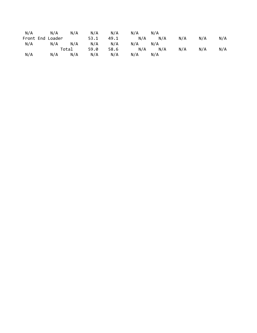| N/A | N/A              | N/A   | N/A  | N/A  | N/A | N/A |     |     |     |
|-----|------------------|-------|------|------|-----|-----|-----|-----|-----|
|     | Front End Loader |       | 53.1 | 49.1 | N/A | N/A | N/A | N/A | N/A |
| N/A | N/A              | N/A   | N/A  | N/A  | N/A | N/A |     |     |     |
|     |                  | Total | 59.0 | 58.6 | N/A | N/A | N/A | N/A | N/A |
| N/A | N/A              | N/A   | N/A  | N/A  | N/A | N/A |     |     |     |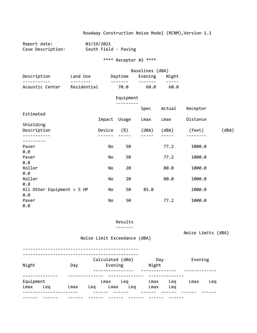Report date: 03/19/2021<br>Case Description: South Field South Field - Paving

\*\*\*\* Receptor #2 \*\*\*\*

|                 |             | Baselines (dBA) |         |       |  |  |
|-----------------|-------------|-----------------|---------|-------|--|--|
| Description     | Land Use    | Daytime         | Evening | Night |  |  |
|                 |             |                 |         |       |  |  |
| Acoustic Center | Residential | 70.0            | 60.0    | 60.0  |  |  |

### Equipment

|                              |        |        | Spec  | Actual | Receptor |       |
|------------------------------|--------|--------|-------|--------|----------|-------|
| Estimated                    |        |        |       |        |          |       |
|                              | Impact | Usage  | Lmax  | Lmax   | Distance |       |
| Shielding                    |        |        |       |        |          |       |
| Description                  | Device | $(\%)$ | (dBA) | (dBA)  | (feet)   | (dBA) |
|                              |        |        |       |        |          |       |
| Paver                        | No     | 50     |       | 77.2   | 1000.0   |       |
| 0.0                          |        |        |       |        |          |       |
| Paver                        | No     | 50     |       | 77.2   | 1000.0   |       |
| 0.0                          |        |        |       |        |          |       |
| Roller                       | No     | 20     |       | 80.0   | 1000.0   |       |
| 0.0                          |        |        |       |        |          |       |
| Roller                       | No     | 20     |       | 80.0   | 1000.0   |       |
| 0.0                          |        |        |       |        |          |       |
| All Other Equipment $> 5$ HP | No     | 50     | 85.0  |        | 1000.0   |       |
| 0.0                          |        |        |       |        |          |       |
| Paver                        | No     | 50     |       | 77.2   | 1000.0   |       |
| 0.0                          |        |        |       |        |          |       |

Results

-------

Noise Limits (dBA)

Noise Limit Exceedance (dBA)

| Night<br>Day      |     |      | Calculated (dBA)<br>Evening |                     |     | Day<br>Night |            | Evening |     |
|-------------------|-----|------|-----------------------------|---------------------|-----|--------------|------------|---------|-----|
| Equipment<br>Lmax | Leg | Lmax | Lea                         | Leg<br>Lmax<br>Lmax | Leg | Lmax<br>Lmax | Leg<br>Leg | Lmax    | Lea |
|                   |     |      |                             |                     |     |              |            |         |     |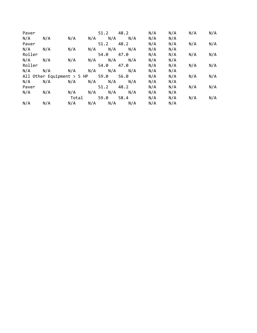| Paver       |                                        |       | 51.2              | 48.2 | N/A | N/A | N/A | N/A |
|-------------|----------------------------------------|-------|-------------------|------|-----|-----|-----|-----|
| N/A         | N/A                                    | N/A   | $N/A$ $N/A$ $N/A$ |      | N/A | N/A |     |     |
| Paver       |                                        |       | 51.2              | 48.2 | N/A | N/A | N/A | N/A |
| N/A         | N/A                                    | N/A   | $N/A$ $N/A$       | N/A  | N/A | N/A |     |     |
| Roller      |                                        |       | 54.0              | 47.0 | N/A | N/A | N/A | N/A |
| $N/A$ $N/A$ |                                        | N/A   | $N/A$ $N/A$       | N/A  | N/A | N/A |     |     |
| Roller      |                                        |       | 54.0              | 47.0 | N/A | N/A | N/A | N/A |
|             | $N/A$ $N/A$                            | N/A   | $N/A$ $N/A$       | N/A  | N/A | N/A |     |     |
|             | All Other Equipment $>$ 5 HP 59.0 56.0 |       |                   |      | N/A | N/A | N/A | N/A |
| N/A         | N/A                                    | N/A   | $N/A$ $N/A$       | N/A  | N/A | N/A |     |     |
| Paver       |                                        |       | 51.2              | 48.2 | N/A | N/A | N/A | N/A |
| N/A         | N/A                                    | N/A   | $N/A$ $N/A$       | N/A  | N/A | N/A |     |     |
|             |                                        | Total | 59.0 58.4         |      | N/A | N/A | N/A | N/A |
| N/A         | N/A                                    | N/A   | $N/A$ $N/A$       | N/A  | N/A | N/A |     |     |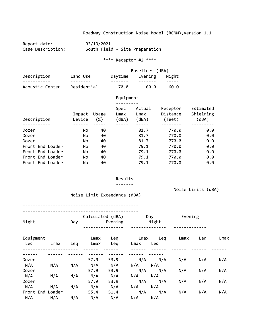Report date: 03/19/2021<br>Case Description: South Field South Field - Site Preparation

\*\*\*\* Receptor #2 \*\*\*\*

|                 |             | Baselines (dBA) |         |       |  |  |  |
|-----------------|-------------|-----------------|---------|-------|--|--|--|
| Description     | Land Use    | Daytime         | Evening | Night |  |  |  |
| Acoustic Center | Residential | 70.0            | 60.0    | 60.0  |  |  |  |

|                  |                  |                 | Equipment             |                         |                                |                                 |
|------------------|------------------|-----------------|-----------------------|-------------------------|--------------------------------|---------------------------------|
| Description      | Impact<br>Device | Usage<br>$(\%)$ | Spec<br>Lmax<br>(dBA) | Actual<br>Lmax<br>(dBA) | Receptor<br>Distance<br>(feet) | Estimated<br>Shielding<br>(dBA) |
|                  |                  |                 |                       |                         |                                |                                 |
| Dozer            | No.              | 40              |                       | 81.7                    | 770.0                          | 0.0                             |
| Dozer            | No.              | 40              |                       | 81.7                    | 770.0                          | 0.0                             |
| Dozer            | No.              | 40              |                       | 81.7                    | 770.0                          | 0.0                             |
| Front End Loader | No.              | 40              |                       | 79.1                    | 770.0                          | 0.0                             |
| Front End Loader | No.              | 40              |                       | 79.1                    | 770.0                          | 0.0                             |
| Front End Loader | No.              | 40              |                       | 79.1                    | 770.0                          | 0.0                             |
| Front End Loader | No               | 40              |                       | 79.1                    | 770.0                          | 0.0                             |

#### Results

-------

Noise Limits (dBA)

Noise Limit Exceedance (dBA)

| Night            |      | Day | Calculated (dBA)<br>Evening |            |              | Day<br>Night |      | Evening |      |
|------------------|------|-----|-----------------------------|------------|--------------|--------------|------|---------|------|
| Equipment<br>Leq | Lmax | Leq | Lmax<br>Lmax                | Leg<br>Leg | Lmax<br>Lmax | Leg<br>Leg   | Lmax | Leg     | Lmax |
|                  |      |     |                             |            |              |              |      |         |      |
| Dozer            |      |     | 57.9                        | 53.9       | N/A          | N/A          | N/A  | N/A     | N/A  |
| N/A              | N/A  | N/A | N/A                         | N/A        | N/A          | N/A          |      |         |      |
| Dozer            |      |     | 57.9                        | 53.9       | N/A          | N/A          | N/A  | N/A     | N/A  |
| N/A              | N/A  | N/A | N/A                         | N/A        | N/A          | N/A          |      |         |      |
| Dozer            |      |     | 57.9                        | 53.9       | N/A          | N/A          | N/A  | N/A     | N/A  |
| N/A              | N/A  | N/A | N/A                         | N/A        | N/A          | N/A          |      |         |      |
| Front End Loader |      |     | 55.4                        | 51.4       | N/A          | N/A          | N/A  | N/A     | N/A  |
| N/A              | N/A  | N/A | N/A                         | N/A        | N/A          | N/A          |      |         |      |